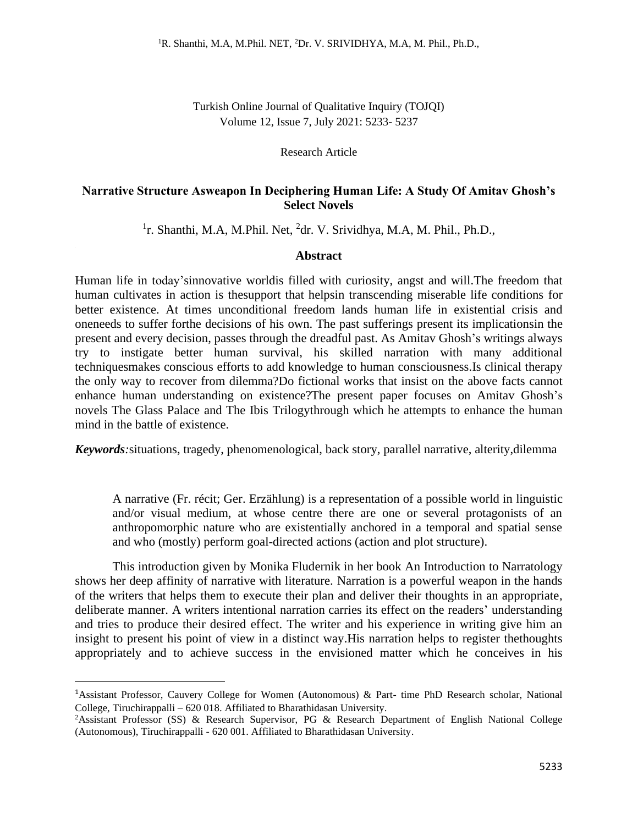Turkish Online Journal of Qualitative Inquiry (TOJQI) Volume 12, Issue 7, July 2021: 5233- 5237

Research Article

# **Narrative Structure Asweapon In Deciphering Human Life: A Study Of Amitav Ghosh's Select Novels**

<sup>1</sup>r. Shanthi, M.A, M.Phil. Net, <sup>2</sup>dr. V. Srividhya, M.A, M. Phil., Ph.D.,

### **Abstract**

Human life in today'sinnovative worldis filled with curiosity, angst and will.The freedom that human cultivates in action is thesupport that helpsin transcending miserable life conditions for better existence. At times unconditional freedom lands human life in existential crisis and oneneeds to suffer forthe decisions of his own. The past sufferings present its implicationsin the present and every decision, passes through the dreadful past. As Amitav Ghosh's writings always try to instigate better human survival, his skilled narration with many additional techniquesmakes conscious efforts to add knowledge to human consciousness.Is clinical therapy the only way to recover from dilemma?Do fictional works that insist on the above facts cannot enhance human understanding on existence?The present paper focuses on Amitav Ghosh's novels The Glass Palace and The Ibis Trilogythrough which he attempts to enhance the human mind in the battle of existence.

*Keywords:*situations, tragedy, phenomenological, back story, parallel narrative, alterity,dilemma

A narrative (Fr. récit; Ger. Erzählung) is a representation of a possible world in linguistic and/or visual medium, at whose centre there are one or several protagonists of an anthropomorphic nature who are existentially anchored in a temporal and spatial sense and who (mostly) perform goal-directed actions (action and plot structure).

This introduction given by Monika Fludernik in her book An Introduction to Narratology shows her deep affinity of narrative with literature. Narration is a powerful weapon in the hands of the writers that helps them to execute their plan and deliver their thoughts in an appropriate, deliberate manner. A writers intentional narration carries its effect on the readers' understanding and tries to produce their desired effect. The writer and his experience in writing give him an insight to present his point of view in a distinct way.His narration helps to register thethoughts appropriately and to achieve success in the envisioned matter which he conceives in his

<sup>1</sup>Assistant Professor, Cauvery College for Women (Autonomous) & Part- time PhD Research scholar, National College, Tiruchirappalli – 620 018. Affiliated to Bharathidasan University.

<sup>2</sup>Assistant Professor (SS) & Research Supervisor, PG & Research Department of English National College (Autonomous), Tiruchirappalli - 620 001. Affiliated to Bharathidasan University.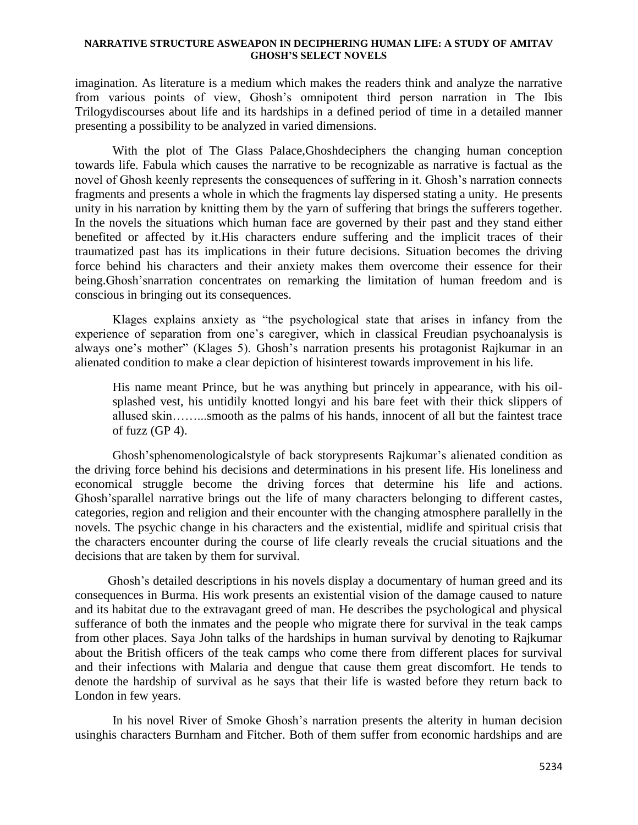#### **NARRATIVE STRUCTURE ASWEAPON IN DECIPHERING HUMAN LIFE: A STUDY OF AMITAV GHOSH'S SELECT NOVELS**

imagination. As literature is a medium which makes the readers think and analyze the narrative from various points of view, Ghosh's omnipotent third person narration in The Ibis Trilogydiscourses about life and its hardships in a defined period of time in a detailed manner presenting a possibility to be analyzed in varied dimensions.

With the plot of The Glass Palace,Ghoshdeciphers the changing human conception towards life. Fabula which causes the narrative to be recognizable as narrative is factual as the novel of Ghosh keenly represents the consequences of suffering in it. Ghosh's narration connects fragments and presents a whole in which the fragments lay dispersed stating a unity. He presents unity in his narration by knitting them by the yarn of suffering that brings the sufferers together. In the novels the situations which human face are governed by their past and they stand either benefited or affected by it.His characters endure suffering and the implicit traces of their traumatized past has its implications in their future decisions. Situation becomes the driving force behind his characters and their anxiety makes them overcome their essence for their being.Ghosh'snarration concentrates on remarking the limitation of human freedom and is conscious in bringing out its consequences.

Klages explains anxiety as "the psychological state that arises in infancy from the experience of separation from one's caregiver, which in classical Freudian psychoanalysis is always one's mother" (Klages 5). Ghosh's narration presents his protagonist Rajkumar in an alienated condition to make a clear depiction of hisinterest towards improvement in his life.

His name meant Prince, but he was anything but princely in appearance, with his oilsplashed vest, his untidily knotted longyi and his bare feet with their thick slippers of allused skin……...smooth as the palms of his hands, innocent of all but the faintest trace of fuzz (GP 4).

Ghosh'sphenomenologicalstyle of back storypresents Rajkumar's alienated condition as the driving force behind his decisions and determinations in his present life. His loneliness and economical struggle become the driving forces that determine his life and actions. Ghosh'sparallel narrative brings out the life of many characters belonging to different castes, categories, region and religion and their encounter with the changing atmosphere parallelly in the novels. The psychic change in his characters and the existential, midlife and spiritual crisis that the characters encounter during the course of life clearly reveals the crucial situations and the decisions that are taken by them for survival.

Ghosh's detailed descriptions in his novels display a documentary of human greed and its consequences in Burma. His work presents an existential vision of the damage caused to nature and its habitat due to the extravagant greed of man. He describes the psychological and physical sufferance of both the inmates and the people who migrate there for survival in the teak camps from other places. Saya John talks of the hardships in human survival by denoting to Rajkumar about the British officers of the teak camps who come there from different places for survival and their infections with Malaria and dengue that cause them great discomfort. He tends to denote the hardship of survival as he says that their life is wasted before they return back to London in few years.

In his novel River of Smoke Ghosh's narration presents the alterity in human decision usinghis characters Burnham and Fitcher. Both of them suffer from economic hardships and are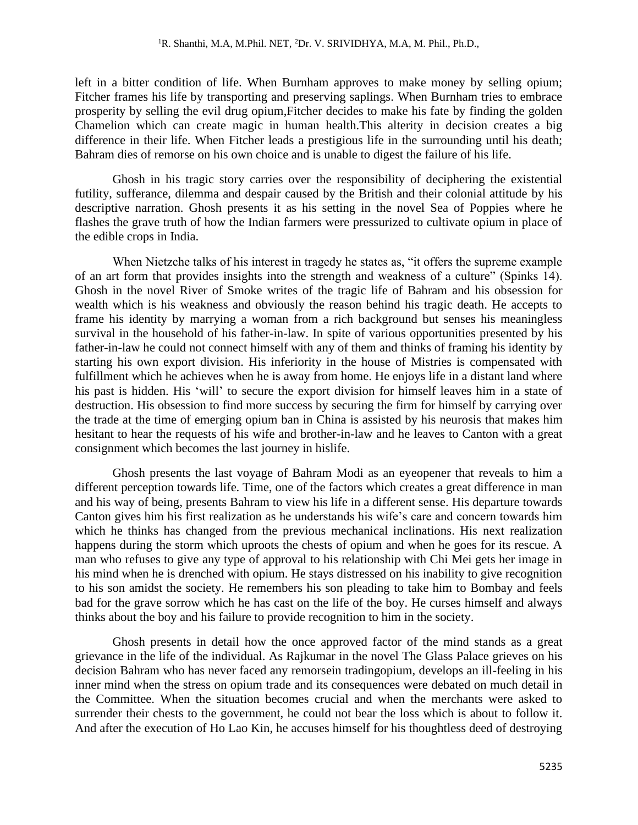left in a bitter condition of life. When Burnham approves to make money by selling opium; Fitcher frames his life by transporting and preserving saplings. When Burnham tries to embrace prosperity by selling the evil drug opium,Fitcher decides to make his fate by finding the golden Chamelion which can create magic in human health.This alterity in decision creates a big difference in their life. When Fitcher leads a prestigious life in the surrounding until his death; Bahram dies of remorse on his own choice and is unable to digest the failure of his life.

Ghosh in his tragic story carries over the responsibility of deciphering the existential futility, sufferance, dilemma and despair caused by the British and their colonial attitude by his descriptive narration. Ghosh presents it as his setting in the novel Sea of Poppies where he flashes the grave truth of how the Indian farmers were pressurized to cultivate opium in place of the edible crops in India.

When Nietzche talks of his interest in tragedy he states as, "it offers the supreme example of an art form that provides insights into the strength and weakness of a culture" (Spinks 14). Ghosh in the novel River of Smoke writes of the tragic life of Bahram and his obsession for wealth which is his weakness and obviously the reason behind his tragic death. He accepts to frame his identity by marrying a woman from a rich background but senses his meaningless survival in the household of his father-in-law. In spite of various opportunities presented by his father-in-law he could not connect himself with any of them and thinks of framing his identity by starting his own export division. His inferiority in the house of Mistries is compensated with fulfillment which he achieves when he is away from home. He enjoys life in a distant land where his past is hidden. His 'will' to secure the export division for himself leaves him in a state of destruction. His obsession to find more success by securing the firm for himself by carrying over the trade at the time of emerging opium ban in China is assisted by his neurosis that makes him hesitant to hear the requests of his wife and brother-in-law and he leaves to Canton with a great consignment which becomes the last journey in hislife.

Ghosh presents the last voyage of Bahram Modi as an eyeopener that reveals to him a different perception towards life. Time, one of the factors which creates a great difference in man and his way of being, presents Bahram to view his life in a different sense. His departure towards Canton gives him his first realization as he understands his wife's care and concern towards him which he thinks has changed from the previous mechanical inclinations. His next realization happens during the storm which uproots the chests of opium and when he goes for its rescue. A man who refuses to give any type of approval to his relationship with Chi Mei gets her image in his mind when he is drenched with opium. He stays distressed on his inability to give recognition to his son amidst the society. He remembers his son pleading to take him to Bombay and feels bad for the grave sorrow which he has cast on the life of the boy. He curses himself and always thinks about the boy and his failure to provide recognition to him in the society.

Ghosh presents in detail how the once approved factor of the mind stands as a great grievance in the life of the individual. As Rajkumar in the novel The Glass Palace grieves on his decision Bahram who has never faced any remorsein tradingopium, develops an ill-feeling in his inner mind when the stress on opium trade and its consequences were debated on much detail in the Committee. When the situation becomes crucial and when the merchants were asked to surrender their chests to the government, he could not bear the loss which is about to follow it. And after the execution of Ho Lao Kin, he accuses himself for his thoughtless deed of destroying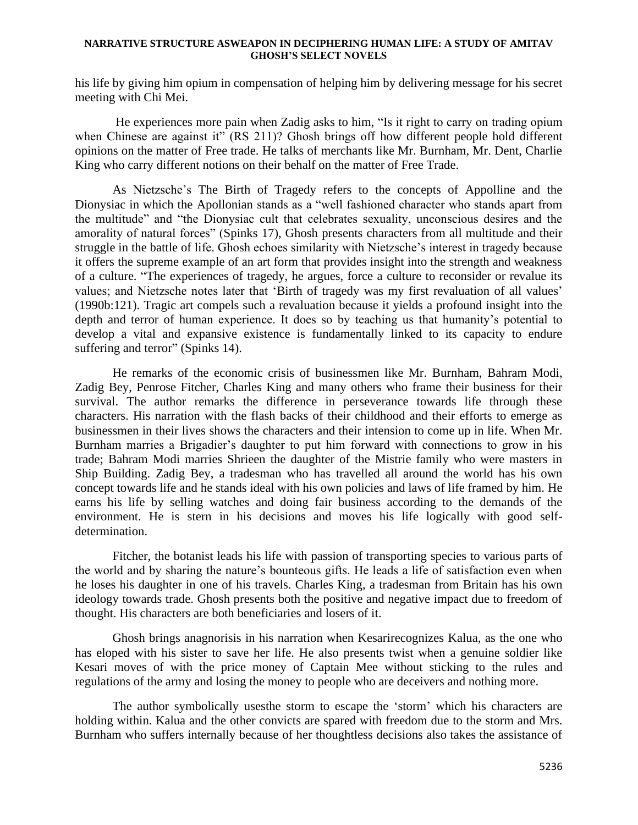### **NARRATIVE STRUCTURE ASWEAPON IN DECIPHERING HUMAN LIFE: A STUDY OF AMITAV GHOSH'S SELECT NOVELS**

his life by giving him opium in compensation of helping him by delivering message for his secret meeting with Chi Mei.

He experiences more pain when Zadig asks to him, "Is it right to carry on trading opium when Chinese are against it" (RS 211)? Ghosh brings off how different people hold different opinions on the matter of Free trade. He talks of merchants like Mr. Burnham, Mr. Dent, Charlie King who carry different notions on their behalf on the matter of Free Trade.

As Nietzsche's The Birth of Tragedy refers to the concepts of Appolline and the Dionysiac in which the Apollonian stands as a "well fashioned character who stands apart from the multitude" and "the Dionysiac cult that celebrates sexuality, unconscious desires and the amorality of natural forces" (Spinks 17), Ghosh presents characters from all multitude and their struggle in the battle of life. Ghosh echoes similarity with Nietzsche's interest in tragedy because it offers the supreme example of an art form that provides insight into the strength and weakness of a culture. "The experiences of tragedy, he argues, force a culture to reconsider or revalue its values; and Nietzsche notes later that 'Birth of tragedy was my first revaluation of all values' (1990b:121). Tragic art compels such a revaluation because it yields a profound insight into the depth and terror of human experience. It does so by teaching us that humanity's potential to develop a vital and expansive existence is fundamentally linked to its capacity to endure suffering and terror" (Spinks 14).

He remarks of the economic crisis of businessmen like Mr. Burnham, Bahram Modi, Zadig Bey, Penrose Fitcher, Charles King and many others who frame their business for their survival. The author remarks the difference in perseverance towards life through these characters. His narration with the flash backs of their childhood and their efforts to emerge as businessmen in their lives shows the characters and their intension to come up in life. When Mr. Burnham marries a Brigadier's daughter to put him forward with connections to grow in his trade; Bahram Modi marries Shrieen the daughter of the Mistrie family who were masters in Ship Building. Zadig Bey, a tradesman who has travelled all around the world has his own concept towards life and he stands ideal with his own policies and laws of life framed by him. He earns his life by selling watches and doing fair business according to the demands of the environment. He is stern in his decisions and moves his life logically with good selfdetermination.

Fitcher, the botanist leads his life with passion of transporting species to various parts of the world and by sharing the nature's bounteous gifts. He leads a life of satisfaction even when he loses his daughter in one of his travels. Charles King, a tradesman from Britain has his own ideology towards trade. Ghosh presents both the positive and negative impact due to freedom of thought. His characters are both beneficiaries and losers of it.

Ghosh brings anagnorisis in his narration when Kesarirecognizes Kalua, as the one who has eloped with his sister to save her life. He also presents twist when a genuine soldier like Kesari moves of with the price money of Captain Mee without sticking to the rules and regulations of the army and losing the money to people who are deceivers and nothing more.

The author symbolically usesthe storm to escape the 'storm' which his characters are holding within. Kalua and the other convicts are spared with freedom due to the storm and Mrs. Burnham who suffers internally because of her thoughtless decisions also takes the assistance of